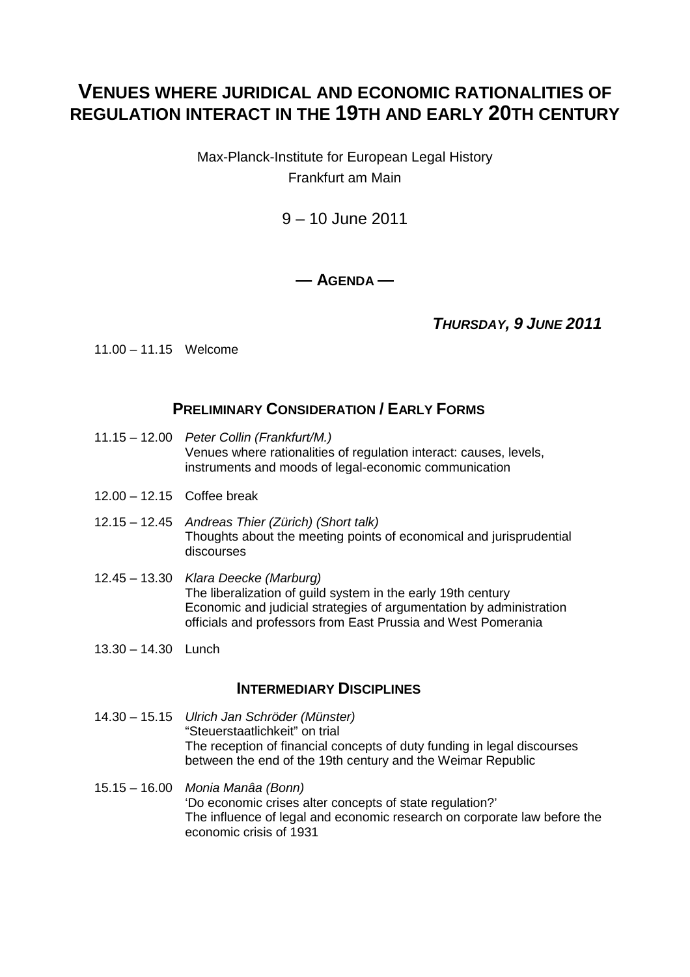# **VENUES WHERE JURIDICAL AND ECONOMIC RATIONALITIES OF REGULATION INTERACT IN THE 19TH AND EARLY 20TH CENTURY**

Max-Planck-Institute for European Legal History Frankfurt am Main

9 – 10 June 2011

**— AGENDA —** 

**THURSDAY, 9 JUNE 2011**

11.00 – 11.15 Welcome

### **PRELIMINARY CONSIDERATION / EARLY FORMS**

- 11.15 12.00 Peter Collin (Frankfurt/M.) Venues where rationalities of regulation interact: causes, levels, instruments and moods of legal-economic communication
- 12.00 12.15 Coffee break
- 12.15 12.45 Andreas Thier (Zürich) (Short talk) Thoughts about the meeting points of economical and jurisprudential discourses
- 12.45 13.30 Klara Deecke (Marburg) The liberalization of guild system in the early 19th century Economic and judicial strategies of argumentation by administration officials and professors from East Prussia and West Pomerania
- 13.30 14.30 Lunch

#### **INTERMEDIARY DISCIPLINES**

- 14.30 15.15 Ulrich Jan Schröder (Münster) "Steuerstaatlichkeit" on trial The reception of financial concepts of duty funding in legal discourses between the end of the 19th century and the Weimar Republic
- 15.15 16.00 Monia Manâa (Bonn) 'Do economic crises alter concepts of state regulation?' The influence of legal and economic research on corporate law before the economic crisis of 1931